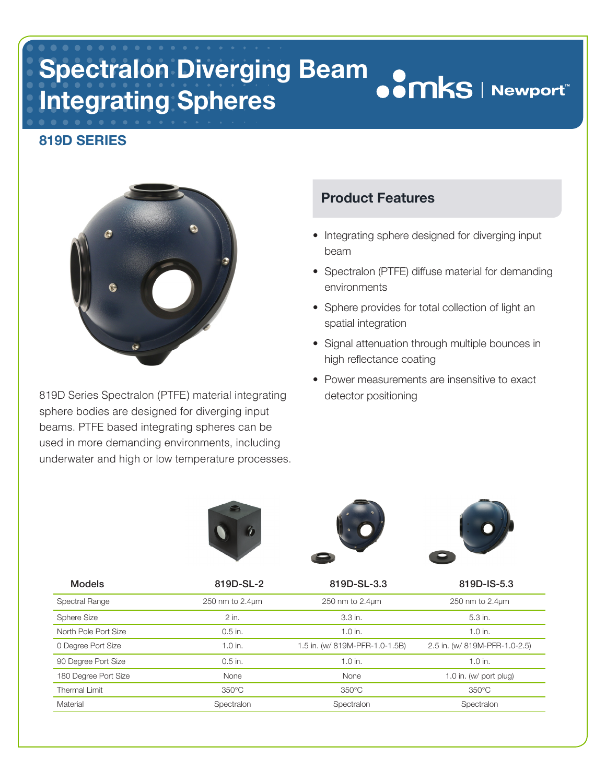# **Spectralon Diverging Beam on KS | Newport" Integrating Spheres**

## **819D SERIES**



819D Series Spectralon (PTFE) material integrating sphere bodies are designed for diverging input beams. PTFE based integrating spheres can be used in more demanding environments, including underwater and high or low temperature processes.

### **Product Features**

- **•** Integrating sphere designed for diverging input beam
- **•** Spectralon (PTFE) diffuse material for demanding environments
- **•** Sphere provides for total collection of light an spatial integration
- **•** Signal attenuation through multiple bounces in high reflectance coating
- **•** Power measurements are insensitive to exact detector positioning







| <b>Models</b>        | 819D-SL-2       | 819D-SL-3.3                    | 819D-IS-5.3                   |
|----------------------|-----------------|--------------------------------|-------------------------------|
| Spectral Range       | 250 nm to 2.4um | 250 nm to 2.4um                | 250 nm to 2.4um               |
| Sphere Size          | 2 in.           | 3.3 in.                        | 5.3 in.                       |
| North Pole Port Size | $0.5$ in.       | $1.0$ in.                      | $1.0$ in.                     |
| 0 Degree Port Size   | 1.0 in.         | 1.5 in. (w/ 819M-PFR-1.0-1.5B) | 2.5 in. (w/ 819M-PFR-1.0-2.5) |
| 90 Degree Port Size  | $0.5$ in.       | $1.0$ in.                      | $1.0$ in.                     |
| 180 Degree Port Size | None            | None                           | 1.0 in. (w/ port plug)        |
| Thermal Limit        | $350^{\circ}$ C | 350°C                          | $350^{\circ}$ C               |
| Material             | Spectralon      | Spectralon                     | Spectralon                    |